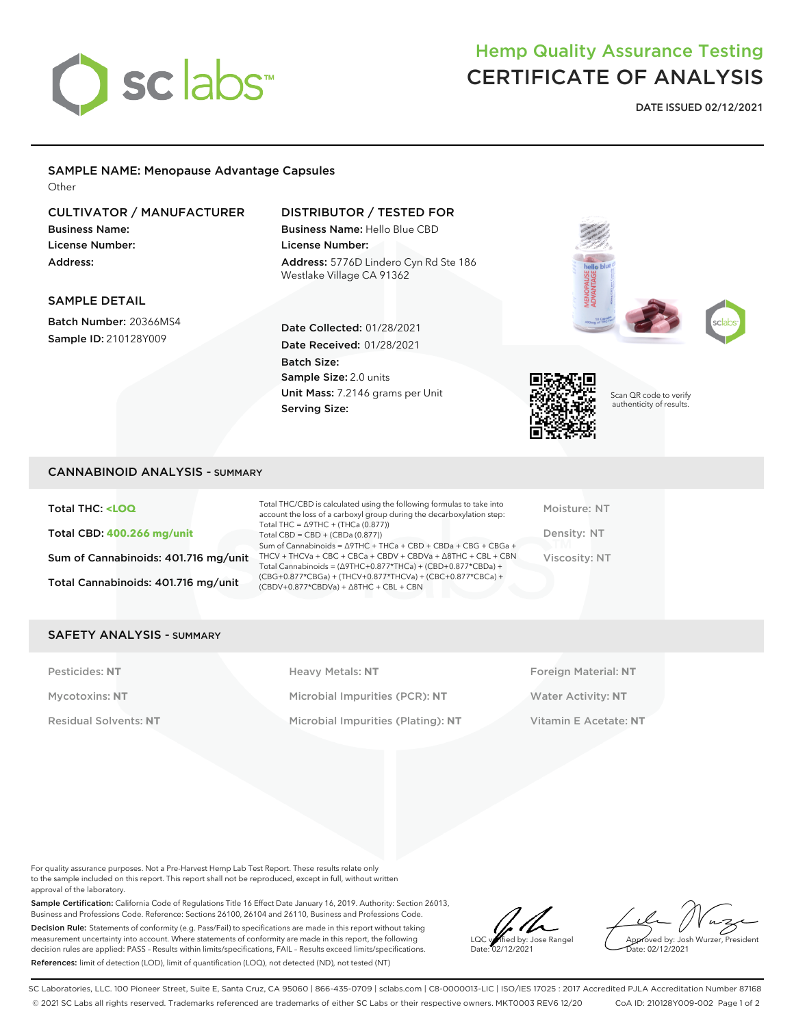

# Hemp Quality Assurance Testing CERTIFICATE OF ANALYSIS

**DATE ISSUED 02/12/2021**

# SAMPLE NAME: Menopause Advantage Capsules

**Other** 

## CULTIVATOR / MANUFACTURER

Business Name: License Number: Address:

## DISTRIBUTOR / TESTED FOR

Business Name: Hello Blue CBD License Number: Address: 5776D Lindero Cyn Rd Ste 186 Westlake Village CA 91362

## SAMPLE DETAIL

Batch Number: 20366MS4 Sample ID: 210128Y009

Date Collected: 01/28/2021 Date Received: 01/28/2021 Batch Size: Sample Size: 2.0 units Unit Mass: 7.2146 grams per Unit Serving Size:



Moisture: NT Density: NT Viscosity: NT

Scan QR code to verify authenticity of results.

## CANNABINOID ANALYSIS - SUMMARY

Total THC: **<LOQ** Total CBD: **400.266 mg/unit** Sum of Cannabinoids: 401.716 mg/unit Total Cannabinoids: 401.716 mg/unit

Total THC/CBD is calculated using the following formulas to take into account the loss of a carboxyl group during the decarboxylation step: Total THC = ∆9THC + (THCa (0.877)) Total CBD = CBD + (CBDa (0.877)) Sum of Cannabinoids = ∆9THC + THCa + CBD + CBDa + CBG + CBGa + THCV + THCVa + CBC + CBCa + CBDV + CBDVa + ∆8THC + CBL + CBN Total Cannabinoids = (∆9THC+0.877\*THCa) + (CBD+0.877\*CBDa) + (CBG+0.877\*CBGa) + (THCV+0.877\*THCVa) + (CBC+0.877\*CBCa) + (CBDV+0.877\*CBDVa) + ∆8THC + CBL + CBN

### SAFETY ANALYSIS - SUMMARY

Pesticides: NT **All Accords** Heavy Metals: NT **Foreign Material: NT** Pesticides: NT Mycotoxins: **NT** Microbial Impurities (PCR): **NT** Water Activity: **NT** Residual Solvents: **NT** Microbial Impurities (Plating): **NT** Vitamin E Acetate: **NT**

For quality assurance purposes. Not a Pre-Harvest Hemp Lab Test Report. These results relate only to the sample included on this report. This report shall not be reproduced, except in full, without written approval of the laboratory.

Sample Certification: California Code of Regulations Title 16 Effect Date January 16, 2019. Authority: Section 26013, Business and Professions Code. Reference: Sections 26100, 26104 and 26110, Business and Professions Code. Decision Rule: Statements of conformity (e.g. Pass/Fail) to specifications are made in this report without taking measurement uncertainty into account. Where statements of conformity are made in this report, the following decision rules are applied: PASS – Results within limits/specifications, FAIL – Results exceed limits/specifications. References: limit of detection (LOD), limit of quantification (LOQ), not detected (ND), not tested (NT)

LOC verified by: Jose Rangel Date: 02/12/2021

Approved by: Josh Wurzer, President ate: 02/12/2021

SC Laboratories, LLC. 100 Pioneer Street, Suite E, Santa Cruz, CA 95060 | 866-435-0709 | sclabs.com | C8-0000013-LIC | ISO/IES 17025 : 2017 Accredited PJLA Accreditation Number 87168 © 2021 SC Labs all rights reserved. Trademarks referenced are trademarks of either SC Labs or their respective owners. MKT0003 REV6 12/20 CoA ID: 210128Y009-002 Page 1 of 2